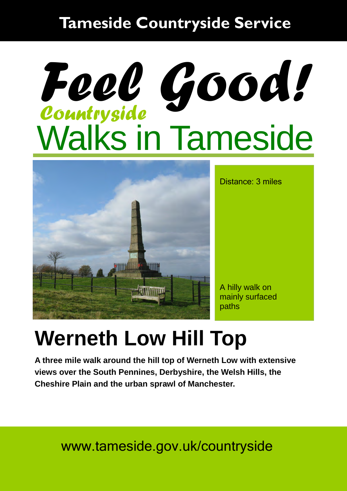#### **Tameside Countryside Service**

# Walks in Tameside *Countryside Feel Good!*



Distance: 3 miles

A hilly walk on mainly surfaced paths

#### **Werneth Low Hill Top**

**A three mile walk around the hill top of Werneth Low with extensive views over the South Pennines, Derbyshire, the Welsh Hills, the Cheshire Plain and the urban sprawl of Manchester.** 

www.tameside.gov.uk/countryside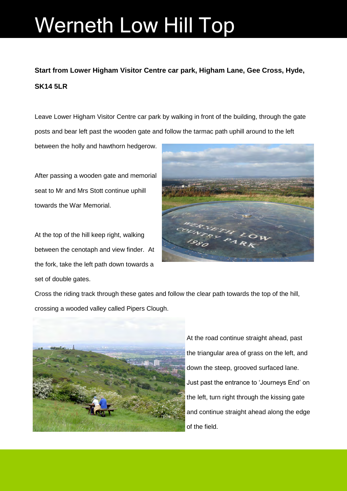### Werneth Low Hill Top

#### **Start from Lower Higham Visitor Centre car park, Higham Lane, Gee Cross, Hyde, SK14 5LR**

Leave Lower Higham Visitor Centre car park by walking in front of the building, through the gate posts and bear left past the wooden gate and follow the tarmac path uphill around to the left

between the holly and hawthorn hedgerow.

After passing a wooden gate and memorial seat to Mr and Mrs Stott continue uphill towards the War Memorial.

At the top of the hill keep right, walking between the cenotaph and view finder. At the fork, take the left path down towards a set of double gates.



Cross the riding track through these gates and follow the clear path towards the top of the hill, crossing a wooded valley called Pipers Clough.



At the road continue straight ahead, past the triangular area of grass on the left, and down the steep, grooved surfaced lane. Just past the entrance to 'Journeys End' on the left, turn right through the kissing gate and continue straight ahead along the edge of the field.